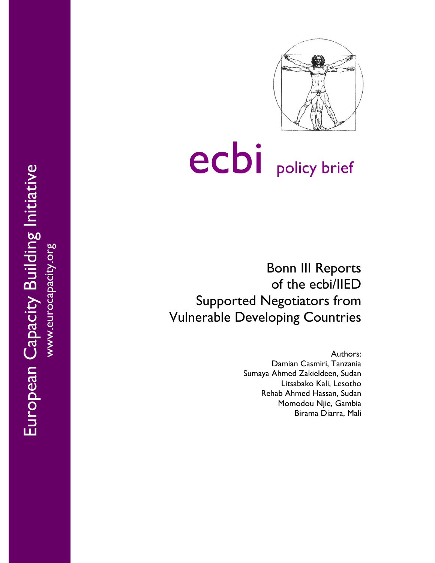

# ecbi policy brief

Bonn III Reports of the ecbi/IIED Supported Negotiators from Vulnerable Developing Countries

> Authors: Damian Casmiri, Tanzania Sumaya Ahmed Zakieldeen, Sudan Litsabako Kali, Lesotho Rehab Ahmed Hassan, Sudan Momodou Njie, Gambia Birama Diarra , Mali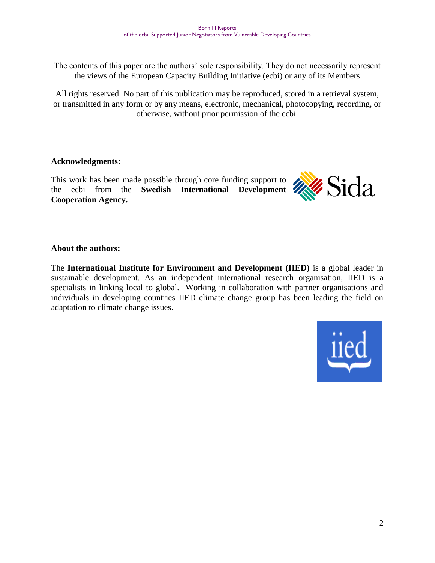The contents of this paper are the authors' sole responsibility. They do not necessarily represent the views of the European Capacity Building Initiative (ecbi) or any of its Members

All rights reserved. No part of this publication may be reproduced, stored in a retrieval system, or transmitted in any form or by any means, electronic, mechanical, photocopying, recording, or otherwise, without prior permission of the ecbi.

#### **Acknowledgments:**

This work has been made possible through core funding support to the ecbi from the **Swedish International Development XXX Cooperation Agency.**



#### **About the authors:**

The **International Institute for Environment and Development (IIED)** is a global leader in sustainable development. As an independent international research organisation, IIED is a specialists in linking local to global. Working in collaboration with partner organisations and individuals in developing countries IIED climate change group has been leading the field on adaptation to climate change issues.

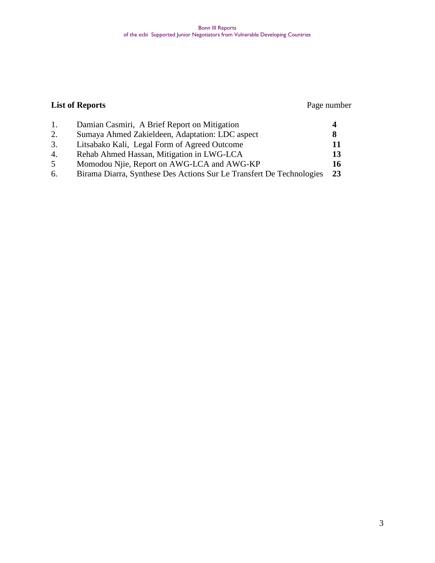#### Bonn III Reports of the ecbi Supported Junior Negotiators from Vulnerable Developing Countries

### **List of Reports** Page number

|    | Damian Casmiri, A Brief Report on Mitigation                         |    |
|----|----------------------------------------------------------------------|----|
| 2. | Sumaya Ahmed Zakieldeen, Adaptation: LDC aspect                      |    |
| 3. | Litsabako Kali, Legal Form of Agreed Outcome                         | 11 |
| 4. | Rehab Ahmed Hassan, Mitigation in LWG-LCA                            | 13 |
|    | Momodou Njie, Report on AWG-LCA and AWG-KP                           | 16 |
| 6. | Birama Diarra, Synthese Des Actions Sur Le Transfert De Technologies | 23 |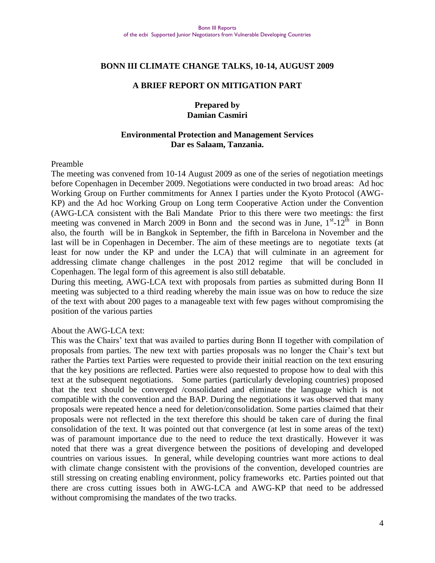#### **BONN III CLIMATE CHANGE TALKS, 10-14, AUGUST 2009**

#### **A BRIEF REPORT ON MITIGATION PART**

#### **Prepared by Damian Casmiri**

#### **Environmental Protection and Management Services Dar es Salaam, Tanzania.**

#### Preamble

The meeting was convened from 10-14 August 2009 as one of the series of negotiation meetings before Copenhagen in December 2009. Negotiations were conducted in two broad areas: Ad hoc Working Group on Further commitments for Annex I parties under the Kyoto Protocol (AWG-KP) and the Ad hoc Working Group on Long term Cooperative Action under the Convention (AWG-LCA consistent with the Bali Mandate Prior to this there were two meetings: the first meeting was convened in March 2009 in Bonn and the second was in June,  $1<sup>st</sup>$ -12<sup>th</sup> in Bonn also, the fourth will be in Bangkok in September, the fifth in Barcelona in November and the last will be in Copenhagen in December. The aim of these meetings are to negotiate texts (at least for now under the KP and under the LCA) that will culminate in an agreement for addressing climate change challenges in the post 2012 regime that will be concluded in Copenhagen. The legal form of this agreement is also still debatable.

During this meeting, AWG-LCA text with proposals from parties as submitted during Bonn II meeting was subjected to a third reading whereby the main issue was on how to reduce the size of the text with about 200 pages to a manageable text with few pages without compromising the position of the various parties

#### About the AWG-LCA text:

This was the Chairs" text that was availed to parties during Bonn II together with compilation of proposals from parties. The new text with parties proposals was no longer the Chair"s text but rather the Parties text Parties were requested to provide their initial reaction on the text ensuring that the key positions are reflected. Parties were also requested to propose how to deal with this text at the subsequent negotiations. Some parties (particularly developing countries) proposed that the text should be converged /consolidated and eliminate the language which is not compatible with the convention and the BAP. During the negotiations it was observed that many proposals were repeated hence a need for deletion/consolidation. Some parties claimed that their proposals were not reflected in the text therefore this should be taken care of during the final consolidation of the text. It was pointed out that convergence (at lest in some areas of the text) was of paramount importance due to the need to reduce the text drastically. However it was noted that there was a great divergence between the positions of developing and developed countries on various issues. In general, while developing countries want more actions to deal with climate change consistent with the provisions of the convention, developed countries are still stressing on creating enabling environment, policy frameworks etc. Parties pointed out that there are cross cutting issues both in AWG-LCA and AWG-KP that need to be addressed without compromising the mandates of the two tracks.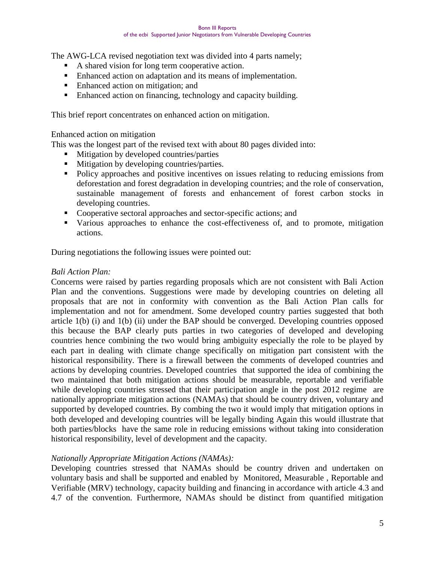The AWG-LCA revised negotiation text was divided into 4 parts namely;

- A shared vision for long term cooperative action.
- Enhanced action on adaptation and its means of implementation.
- Enhanced action on mitigation; and
- Enhanced action on financing, technology and capacity building.

This brief report concentrates on enhanced action on mitigation.

#### Enhanced action on mitigation

This was the longest part of the revised text with about 80 pages divided into:

- **Mitigation by developed countries/parties**
- **Mitigation by developing countries/parties.**
- Policy approaches and positive incentives on issues relating to reducing emissions from deforestation and forest degradation in developing countries; and the role of conservation, sustainable management of forests and enhancement of forest carbon stocks in developing countries.
- Cooperative sectoral approaches and sector-specific actions; and
- Various approaches to enhance the cost-effectiveness of, and to promote, mitigation actions.

During negotiations the following issues were pointed out:

#### *Bali Action Plan:*

Concerns were raised by parties regarding proposals which are not consistent with Bali Action Plan and the conventions. Suggestions were made by developing countries on deleting all proposals that are not in conformity with convention as the Bali Action Plan calls for implementation and not for amendment. Some developed country parties suggested that both article 1(b) (i) and 1(b) (ii) under the BAP should be converged. Developing countries opposed this because the BAP clearly puts parties in two categories of developed and developing countries hence combining the two would bring ambiguity especially the role to be played by each part in dealing with climate change specifically on mitigation part consistent with the historical responsibility. There is a firewall between the comments of developed countries and actions by developing countries. Developed countries that supported the idea of combining the two maintained that both mitigation actions should be measurable, reportable and verifiable while developing countries stressed that their participation angle in the post 2012 regime are nationally appropriate mitigation actions (NAMAs) that should be country driven, voluntary and supported by developed countries. By combing the two it would imply that mitigation options in both developed and developing countries will be legally binding Again this would illustrate that both parties/blocks have the same role in reducing emissions without taking into consideration historical responsibility, level of development and the capacity.

#### *Nationally Appropriate Mitigation Actions (NAMAs):*

Developing countries stressed that NAMAs should be country driven and undertaken on voluntary basis and shall be supported and enabled by Monitored, Measurable , Reportable and Verifiable (MRV) technology, capacity building and financing in accordance with article 4.3 and 4.7 of the convention. Furthermore, NAMAs should be distinct from quantified mitigation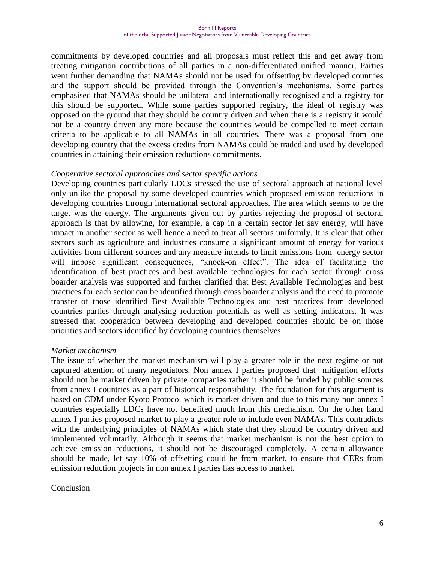commitments by developed countries and all proposals must reflect this and get away from treating mitigation contributions of all parties in a non-differentiated unified manner. Parties went further demanding that NAMAs should not be used for offsetting by developed countries and the support should be provided through the Convention"s mechanisms. Some parties emphasised that NAMAs should be unilateral and internationally recognised and a registry for this should be supported. While some parties supported registry, the ideal of registry was opposed on the ground that they should be country driven and when there is a registry it would not be a country driven any more because the countries would be compelled to meet certain criteria to be applicable to all NAMAs in all countries. There was a proposal from one developing country that the excess credits from NAMAs could be traded and used by developed countries in attaining their emission reductions commitments.

#### *Cooperative sectoral approaches and sector specific actions*

Developing countries particularly LDCs stressed the use of sectoral approach at national level only unlike the proposal by some developed countries which proposed emission reductions in developing countries through international sectoral approaches. The area which seems to be the target was the energy. The arguments given out by parties rejecting the proposal of sectoral approach is that by allowing, for example, a cap in a certain sector let say energy, will have impact in another sector as well hence a need to treat all sectors uniformly. It is clear that other sectors such as agriculture and industries consume a significant amount of energy for various activities from different sources and any measure intends to limit emissions from energy sector will impose significant consequences, "knock-on effect". The idea of facilitating the identification of best practices and best available technologies for each sector through cross boarder analysis was supported and further clarified that Best Available Technologies and best practices for each sector can be identified through cross boarder analysis and the need to promote transfer of those identified Best Available Technologies and best practices from developed countries parties through analysing reduction potentials as well as setting indicators. It was stressed that cooperation between developing and developed countries should be on those priorities and sectors identified by developing countries themselves.

#### *Market mechanism*

The issue of whether the market mechanism will play a greater role in the next regime or not captured attention of many negotiators. Non annex I parties proposed that mitigation efforts should not be market driven by private companies rather it should be funded by public sources from annex I countries as a part of historical responsibility. The foundation for this argument is based on CDM under Kyoto Protocol which is market driven and due to this many non annex I countries especially LDCs have not benefited much from this mechanism. On the other hand annex I parties proposed market to play a greater role to include even NAMAs. This contradicts with the underlying principles of NAMAs which state that they should be country driven and implemented voluntarily. Although it seems that market mechanism is not the best option to achieve emission reductions, it should not be discouraged completely. A certain allowance should be made, let say 10% of offsetting could be from market, to ensure that CERs from emission reduction projects in non annex I parties has access to market.

#### Conclusion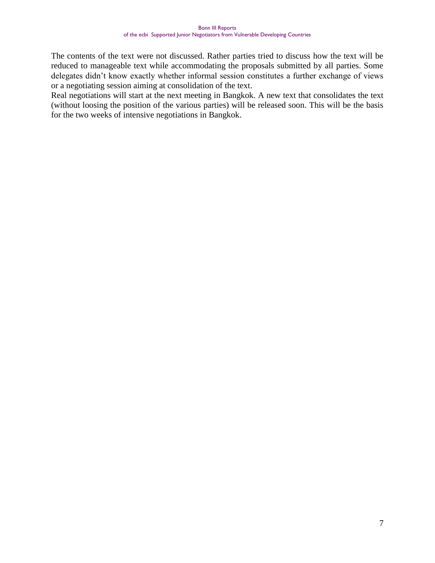The contents of the text were not discussed. Rather parties tried to discuss how the text will be reduced to manageable text while accommodating the proposals submitted by all parties. Some delegates didn"t know exactly whether informal session constitutes a further exchange of views or a negotiating session aiming at consolidation of the text.

Real negotiations will start at the next meeting in Bangkok. A new text that consolidates the text (without loosing the position of the various parties) will be released soon. This will be the basis for the two weeks of intensive negotiations in Bangkok.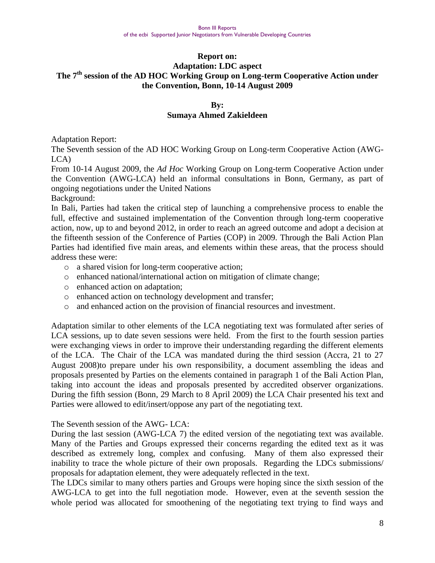#### **Report on: Adaptation: LDC aspect The 7th session of the AD HOC Working Group on Long-term Cooperative Action under the Convention, Bonn, 10-14 August 2009**

#### **By: Sumaya Ahmed Zakieldeen**

Adaptation Report:

The Seventh session of the AD HOC Working Group on Long-term Cooperative Action (AWG-LCA)

From 10-14 August 2009, the *Ad Hoc* Working Group on Long-term Cooperative Action under the Convention (AWG-LCA) held an informal consultations in Bonn, Germany, as part of ongoing negotiations under the United Nations

Background:

In Bali, Parties had taken the critical step of launching a comprehensive process to enable the full, effective and sustained implementation of the Convention through long-term cooperative action, now, up to and beyond 2012, in order to reach an agreed outcome and adopt a decision at the fifteenth session of the Conference of Parties (COP) in 2009. Through the Bali Action Plan Parties had identified five main areas, and elements within these areas, that the process should address these were:

- o a shared vision for long-term cooperative action;
- o enhanced national/international action on mitigation of climate change;
- o enhanced action on adaptation;
- o enhanced action on technology development and transfer;
- o and enhanced action on the provision of financial resources and investment.

Adaptation similar to other elements of the LCA negotiating text was formulated after series of LCA sessions, up to date seven sessions were held. From the first to the fourth session parties were exchanging views in order to improve their understanding regarding the different elements of the LCA. The Chair of the LCA was mandated during the third session (Accra, 21 to 27 August 2008)to prepare under his own responsibility, a document assembling the ideas and proposals presented by Parties on the elements contained in paragraph 1 of the Bali Action Plan, taking into account the ideas and proposals presented by accredited observer organizations. During the fifth session (Bonn, 29 March to 8 April 2009) the LCA Chair presented his text and Parties were allowed to edit/insert/oppose any part of the negotiating text.

#### The Seventh session of the AWG- LCA:

During the last session (AWG-LCA 7) the edited version of the negotiating text was available. Many of the Parties and Groups expressed their concerns regarding the edited text as it was described as extremely long, complex and confusing. Many of them also expressed their inability to trace the whole picture of their own proposals. Regarding the LDCs submissions/ proposals for adaptation element, they were adequately reflected in the text.

The LDCs similar to many others parties and Groups were hoping since the sixth session of the AWG-LCA to get into the full negotiation mode. However, even at the seventh session the whole period was allocated for smoothening of the negotiating text trying to find ways and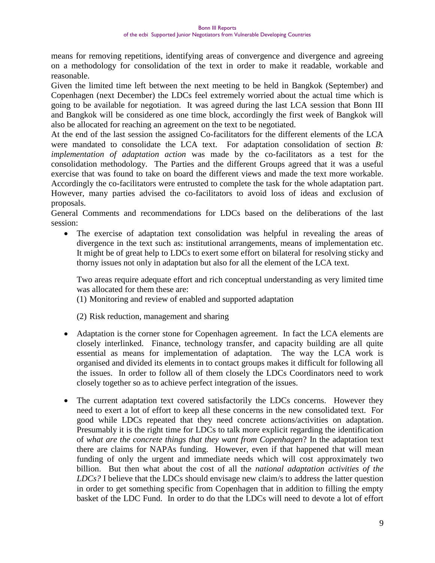means for removing repetitions, identifying areas of convergence and divergence and agreeing on a methodology for consolidation of the text in order to make it readable, workable and reasonable.

Given the limited time left between the next meeting to be held in Bangkok (September) and Copenhagen (next December) the LDCs feel extremely worried about the actual time which is going to be available for negotiation. It was agreed during the last LCA session that Bonn III and Bangkok will be considered as one time block, accordingly the first week of Bangkok will also be allocated for reaching an agreement on the text to be negotiated.

At the end of the last session the assigned Co-facilitators for the different elements of the LCA were mandated to consolidate the LCA text. For adaptation consolidation of section *B: implementation of adaptation action* was made by the co-facilitators as a test for the consolidation methodology. The Parties and the different Groups agreed that it was a useful exercise that was found to take on board the different views and made the text more workable. Accordingly the co-facilitators were entrusted to complete the task for the whole adaptation part. However, many parties advised the co-facilitators to avoid loss of ideas and exclusion of proposals.

General Comments and recommendations for LDCs based on the deliberations of the last session:

 The exercise of adaptation text consolidation was helpful in revealing the areas of divergence in the text such as: institutional arrangements, means of implementation etc. It might be of great help to LDCs to exert some effort on bilateral for resolving sticky and thorny issues not only in adaptation but also for all the element of the LCA text.

Two areas require adequate effort and rich conceptual understanding as very limited time was allocated for them these are:

(1) Monitoring and review of enabled and supported adaptation

(2) Risk reduction, management and sharing

- Adaptation is the corner stone for Copenhagen agreement. In fact the LCA elements are closely interlinked. Finance, technology transfer, and capacity building are all quite essential as means for implementation of adaptation. The way the LCA work is organised and divided its elements in to contact groups makes it difficult for following all the issues. In order to follow all of them closely the LDCs Coordinators need to work closely together so as to achieve perfect integration of the issues.
- The current adaptation text covered satisfactorily the LDCs concerns. However they need to exert a lot of effort to keep all these concerns in the new consolidated text. For good while LDCs repeated that they need concrete actions/activities on adaptation. Presumably it is the right time for LDCs to talk more explicit regarding the identification of *what are the concrete things that they want from Copenhagen*? In the adaptation text there are claims for NAPAs funding. However, even if that happened that will mean funding of only the urgent and immediate needs which will cost approximately two billion. But then what about the cost of all the *national adaptation activities of the LDCs?* I believe that the LDCs should envisage new claim/s to address the latter question in order to get something specific from Copenhagen that in addition to filling the empty basket of the LDC Fund. In order to do that the LDCs will need to devote a lot of effort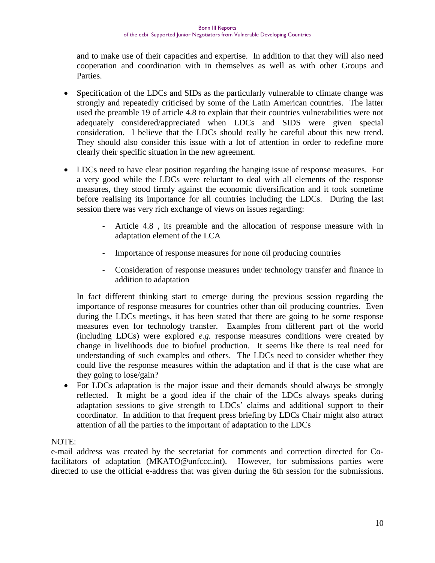and to make use of their capacities and expertise. In addition to that they will also need cooperation and coordination with in themselves as well as with other Groups and Parties.

- Specification of the LDCs and SIDs as the particularly vulnerable to climate change was strongly and repeatedly criticised by some of the Latin American countries. The latter used the preamble 19 of article 4.8 to explain that their countries vulnerabilities were not adequately considered/appreciated when LDCs and SIDS were given special consideration. I believe that the LDCs should really be careful about this new trend. They should also consider this issue with a lot of attention in order to redefine more clearly their specific situation in the new agreement.
- LDCs need to have clear position regarding the hanging issue of response measures. For a very good while the LDCs were reluctant to deal with all elements of the response measures, they stood firmly against the economic diversification and it took sometime before realising its importance for all countries including the LDCs. During the last session there was very rich exchange of views on issues regarding:
	- Article 4.8 , its preamble and the allocation of response measure with in adaptation element of the LCA
	- Importance of response measures for none oil producing countries
	- Consideration of response measures under technology transfer and finance in addition to adaptation

In fact different thinking start to emerge during the previous session regarding the importance of response measures for countries other than oil producing countries. Even during the LDCs meetings, it has been stated that there are going to be some response measures even for technology transfer. Examples from different part of the world (including LDCs) were explored *e.g.* response measures conditions were created by change in livelihoods due to biofuel production. It seems like there is real need for understanding of such examples and others. The LDCs need to consider whether they could live the response measures within the adaptation and if that is the case what are they going to lose/gain?

 For LDCs adaptation is the major issue and their demands should always be strongly reflected. It might be a good idea if the chair of the LDCs always speaks during adaptation sessions to give strength to LDCs" claims and additional support to their coordinator. In addition to that frequent press briefing by LDCs Chair might also attract attention of all the parties to the important of adaptation to the LDCs

#### NOTE:

e-mail address was created by the secretariat for comments and correction directed for Co-facilitators of adaptation [\(MKATO@unfccc.int\)](mailto:MKATO@unfccc.int). However, for submissions parties were directed to use the official e-address that was given during the 6th session for the submissions.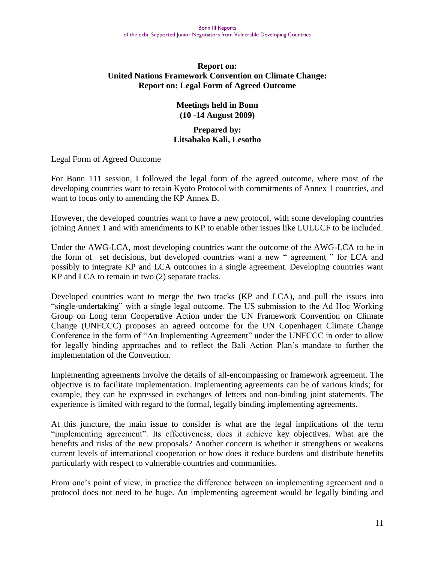#### **Report on: United Nations Framework Convention on Climate Change: Report on: Legal Form of Agreed Outcome**

#### **Meetings held in Bonn (10 -14 August 2009)**

#### **Prepared by: Litsabako Kali, Lesotho**

Legal Form of Agreed Outcome

For Bonn 111 session, I followed the legal form of the agreed outcome, where most of the developing countries want to retain Kyoto Protocol with commitments of Annex 1 countries, and want to focus only to amending the KP Annex B.

However, the developed countries want to have a new protocol, with some developing countries joining Annex 1 and with amendments to KP to enable other issues like LULUCF to be included.

Under the AWG-LCA, most developing countries want the outcome of the AWG-LCA to be in the form of set decisions, but developed countries want a new " agreement " for LCA and possibly to integrate KP and LCA outcomes in a single agreement. Developing countries want KP and LCA to remain in two (2) separate tracks.

Developed countries want to merge the two tracks (KP and LCA), and pull the issues into "single-undertaking" with a single legal outcome. The US submission to the Ad Hoc Working Group on Long term Cooperative Action under the UN Framework Convention on Climate Change (UNFCCC) proposes an agreed outcome for the UN Copenhagen Climate Change Conference in the form of "An Implementing Agreement" under the UNFCCC in order to allow for legally binding approaches and to reflect the Bali Action Plan"s mandate to further the implementation of the Convention.

Implementing agreements involve the details of all-encompassing or framework agreement. The objective is to facilitate implementation. Implementing agreements can be of various kinds; for example, they can be expressed in exchanges of letters and non-binding joint statements. The experience is limited with regard to the formal, legally binding implementing agreements.

At this juncture, the main issue to consider is what are the legal implications of the term "implementing agreement". Its effectiveness, does it achieve key objectives. What are the benefits and risks of the new proposals? Another concern is whether it strengthens or weakens current levels of international cooperation or how does it reduce burdens and distribute benefits particularly with respect to vulnerable countries and communities.

From one's point of view, in practice the difference between an implementing agreement and a protocol does not need to be huge. An implementing agreement would be legally binding and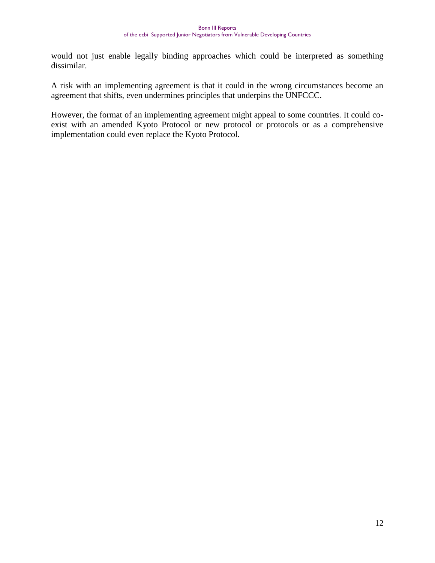would not just enable legally binding approaches which could be interpreted as something dissimilar.

A risk with an implementing agreement is that it could in the wrong circumstances become an agreement that shifts, even undermines principles that underpins the UNFCCC.

However, the format of an implementing agreement might appeal to some countries. It could coexist with an amended Kyoto Protocol or new protocol or protocols or as a comprehensive implementation could even replace the Kyoto Protocol.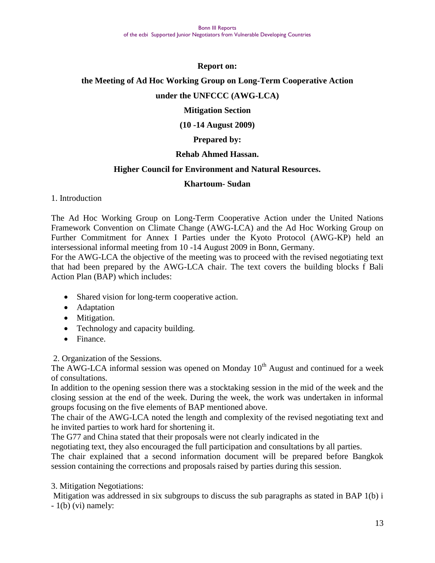#### **Report on:**

#### **the Meeting of Ad Hoc Working Group on Long-Term Cooperative Action**

#### **under the UNFCCC (AWG-LCA)**

#### **Mitigation Section**

#### **(10 -14 August 2009)**

#### **Prepared by:**

#### **Rehab Ahmed Hassan.**

#### **Higher Council for Environment and Natural Resources.**

#### **Khartoum- Sudan**

#### 1. Introduction

The Ad Hoc Working Group on Long-Term Cooperative Action under the United Nations Framework Convention on Climate Change (AWG-LCA) and the Ad Hoc Working Group on Further Commitment for Annex I Parties under the Kyoto Protocol (AWG-KP) held an intersessional informal meeting from 10 -14 August 2009 in Bonn, Germany.

For the AWG-LCA the objective of the meeting was to proceed with the revised negotiating text that had been prepared by the AWG-LCA chair. The text covers the building blocks f Bali Action Plan (BAP) which includes:

- Shared vision for long-term cooperative action.
- Adaptation
- Mitigation.
- Technology and capacity building.
- Finance.

2. Organization of the Sessions.

The  $\widetilde{A}WG-LCA$  informal session was opened on Monday  $10^{th}$  August and continued for a week of consultations.

In addition to the opening session there was a stocktaking session in the mid of the week and the closing session at the end of the week. During the week, the work was undertaken in informal groups focusing on the five elements of BAP mentioned above.

The chair of the AWG-LCA noted the length and complexity of the revised negotiating text and he invited parties to work hard for shortening it.

The G77 and China stated that their proposals were not clearly indicated in the

negotiating text, they also encouraged the full participation and consultations by all parties.

The chair explained that a second information document will be prepared before Bangkok session containing the corrections and proposals raised by parties during this session.

3. Mitigation Negotiations:

Mitigation was addressed in six subgroups to discuss the sub paragraphs as stated in BAP 1(b) i  $-1(b)$  (vi) namely: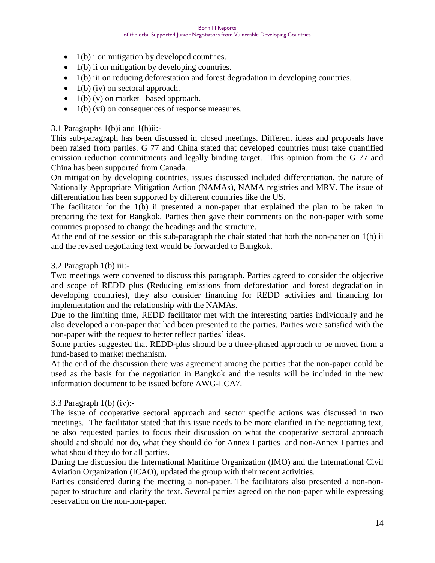- $\bullet$  1(b) i on mitigation by developed countries.
- $\bullet$  1(b) ii on mitigation by developing countries.
- 1(b) iii on reducing deforestation and forest degradation in developing countries.
- $\bullet$  1(b) (iv) on sectoral approach.
- $\bullet$  1(b) (v) on market –based approach.
- $\bullet$  1(b) (vi) on consequences of response measures.

#### 3.1 Paragraphs 1(b)i and 1(b)ii:-

This sub-paragraph has been discussed in closed meetings. Different ideas and proposals have been raised from parties. G 77 and China stated that developed countries must take quantified emission reduction commitments and legally binding target. This opinion from the G 77 and China has been supported from Canada.

On mitigation by developing countries, issues discussed included differentiation, the nature of Nationally Appropriate Mitigation Action (NAMAs), NAMA registries and MRV. The issue of differentiation has been supported by different countries like the US.

The facilitator for the 1(b) ii presented a non-paper that explained the plan to be taken in preparing the text for Bangkok. Parties then gave their comments on the non-paper with some countries proposed to change the headings and the structure.

At the end of the session on this sub-paragraph the chair stated that both the non-paper on 1(b) ii and the revised negotiating text would be forwarded to Bangkok.

#### 3.2 Paragraph 1(b) iii:-

Two meetings were convened to discuss this paragraph. Parties agreed to consider the objective and scope of REDD plus (Reducing emissions from deforestation and forest degradation in developing countries), they also consider financing for REDD activities and financing for implementation and the relationship with the NAMAs.

Due to the limiting time, REDD facilitator met with the interesting parties individually and he also developed a non-paper that had been presented to the parties. Parties were satisfied with the non-paper with the request to better reflect parties' ideas.

Some parties suggested that REDD-plus should be a three-phased approach to be moved from a fund-based to market mechanism.

At the end of the discussion there was agreement among the parties that the non-paper could be used as the basis for the negotiation in Bangkok and the results will be included in the new information document to be issued before AWG-LCA7.

#### 3.3 Paragraph 1(b) (iv):-

The issue of cooperative sectoral approach and sector specific actions was discussed in two meetings. The facilitator stated that this issue needs to be more clarified in the negotiating text, he also requested parties to focus their discussion on what the cooperative sectoral approach should and should not do, what they should do for Annex I parties and non-Annex I parties and what should they do for all parties.

During the discussion the International Maritime Organization (IMO) and the International Civil Aviation Organization (ICAO), updated the group with their recent activities.

Parties considered during the meeting a non-paper. The facilitators also presented a non-nonpaper to structure and clarify the text. Several parties agreed on the non-paper while expressing reservation on the non-non-paper.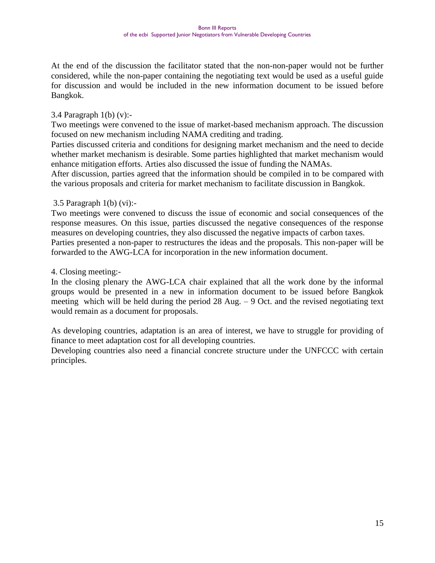At the end of the discussion the facilitator stated that the non-non-paper would not be further considered, while the non-paper containing the negotiating text would be used as a useful guide for discussion and would be included in the new information document to be issued before Bangkok.

#### 3.4 Paragraph 1(b) (v):-

Two meetings were convened to the issue of market-based mechanism approach. The discussion focused on new mechanism including NAMA crediting and trading.

Parties discussed criteria and conditions for designing market mechanism and the need to decide whether market mechanism is desirable. Some parties highlighted that market mechanism would enhance mitigation efforts. Arties also discussed the issue of funding the NAMAs.

After discussion, parties agreed that the information should be compiled in to be compared with the various proposals and criteria for market mechanism to facilitate discussion in Bangkok.

#### 3.5 Paragraph 1(b) (vi):-

Two meetings were convened to discuss the issue of economic and social consequences of the response measures. On this issue, parties discussed the negative consequences of the response measures on developing countries, they also discussed the negative impacts of carbon taxes. Parties presented a non-paper to restructures the ideas and the proposals. This non-paper will be forwarded to the AWG-LCA for incorporation in the new information document.

#### 4. Closing meeting:-

In the closing plenary the AWG-LCA chair explained that all the work done by the informal groups would be presented in a new in information document to be issued before Bangkok meeting which will be held during the period  $28$  Aug.  $-9$  Oct. and the revised negotiating text would remain as a document for proposals.

As developing countries, adaptation is an area of interest, we have to struggle for providing of finance to meet adaptation cost for all developing countries.

Developing countries also need a financial concrete structure under the UNFCCC with certain principles.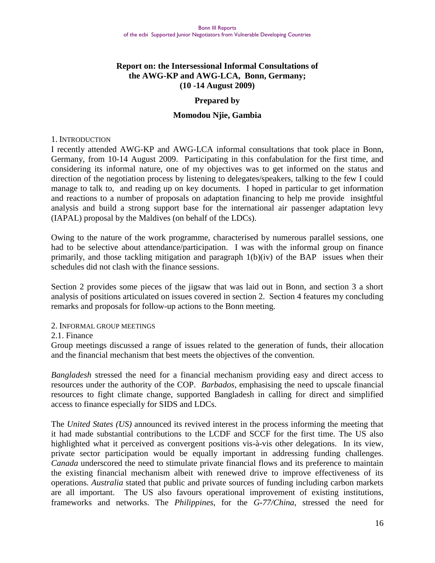#### **Report on: the Intersessional Informal Consultations of the AWG-KP and AWG-LCA, Bonn, Germany; (10 -14 August 2009)**

#### **Prepared by**

#### **Momodou Njie, Gambia**

#### 1. INTRODUCTION

I recently attended AWG-KP and AWG-LCA informal consultations that took place in Bonn, Germany, from 10-14 August 2009. Participating in this confabulation for the first time, and considering its informal nature, one of my objectives was to get informed on the status and direction of the negotiation process by listening to delegates/speakers, talking to the few I could manage to talk to, and reading up on key documents. I hoped in particular to get information and reactions to a number of proposals on adaptation financing to help me provide insightful analysis and build a strong support base for the international air passenger adaptation levy (IAPAL) proposal by the Maldives (on behalf of the LDCs).

Owing to the nature of the work programme, characterised by numerous parallel sessions, one had to be selective about attendance/participation. I was with the informal group on finance primarily, and those tackling mitigation and paragraph 1(b)(iv) of the BAP issues when their schedules did not clash with the finance sessions.

Section 2 provides some pieces of the jigsaw that was laid out in Bonn, and section 3 a short analysis of positions articulated on issues covered in section 2. Section 4 features my concluding remarks and proposals for follow-up actions to the Bonn meeting.

#### 2. INFORMAL GROUP MEETINGS

#### 2.1. Finance

Group meetings discussed a range of issues related to the generation of funds, their allocation and the financial mechanism that best meets the objectives of the convention.

*Bangladesh* stressed the need for a financial mechanism providing easy and direct access to resources under the authority of the COP. *Barbados*, emphasising the need to upscale financial resources to fight climate change, supported Bangladesh in calling for direct and simplified access to finance especially for SIDS and LDCs.

The *United States (US)* announced its revived interest in the process informing the meeting that it had made substantial contributions to the LCDF and SCCF for the first time. The US also highlighted what it perceived as convergent positions vis-à-vis other delegations. In its view, private sector participation would be equally important in addressing funding challenges. *Canada* underscored the need to stimulate private financial flows and its preference to maintain the existing financial mechanism albeit with renewed drive to improve effectiveness of its operations. *Australia* stated that public and private sources of funding including carbon markets are all important. The US also favours operational improvement of existing institutions, frameworks and networks. The *Philippines*, for the *G-77/China*, stressed the need for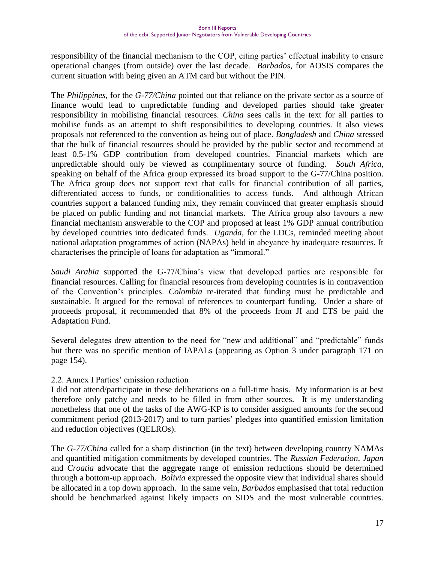responsibility of the financial mechanism to the COP, citing parties" effectual inability to ensure operational changes (from outside) over the last decade. *Barbados*, for AOSIS compares the current situation with being given an ATM card but without the PIN.

The *Philippines*, for the *G-77/China* pointed out that reliance on the private sector as a source of finance would lead to unpredictable funding and developed parties should take greater responsibility in mobilising financial resources. *China* sees calls in the text for all parties to mobilise funds as an attempt to shift responsibilities to developing countries. It also views proposals not referenced to the convention as being out of place. *Bangladesh* and *China* stressed that the bulk of financial resources should be provided by the public sector and recommend at least 0.5-1% GDP contribution from developed countries. Financial markets which are unpredictable should only be viewed as complimentary source of funding. *South Africa*, speaking on behalf of the Africa group expressed its broad support to the G-77/China position. The Africa group does not support text that calls for financial contribution of all parties, differentiated access to funds, or conditionalities to access funds. And although African countries support a balanced funding mix, they remain convinced that greater emphasis should be placed on public funding and not financial markets. The Africa group also favours a new financial mechanism answerable to the COP and proposed at least 1% GDP annual contribution by developed countries into dedicated funds. *Uganda,* for the LDCs, reminded meeting about national adaptation programmes of action (NAPAs) held in abeyance by inadequate resources. It characterises the principle of loans for adaptation as "immoral."

*Saudi Arabia* supported the G-77/China"s view that developed parties are responsible for financial resources. Calling for financial resources from developing countries is in contravention of the Convention"s principles. *Colombia* re-iterated that funding must be predictable and sustainable. It argued for the removal of references to counterpart funding. Under a share of proceeds proposal, it recommended that 8% of the proceeds from JI and ETS be paid the Adaptation Fund.

Several delegates drew attention to the need for "new and additional" and "predictable" funds but there was no specific mention of IAPALs (appearing as Option 3 under paragraph 171 on page 154).

#### 2.2. Annex I Parties" emission reduction

I did not attend/participate in these deliberations on a full-time basis. My information is at best therefore only patchy and needs to be filled in from other sources. It is my understanding nonetheless that one of the tasks of the AWG-KP is to consider assigned amounts for the second commitment period (2013-2017) and to turn parties" pledges into quantified emission limitation and reduction objectives (QELROs).

The *G-77/China* called for a sharp distinction (in the text) between developing country NAMAs and quantified mitigation commitments by developed countries. The *Russian Federation*, *Japan*  and *Croatia* advocate that the aggregate range of emission reductions should be determined through a bottom-up approach. *Bolivia* expressed the opposite view that individual shares should be allocated in a top down approach. In the same vein, *Barbados* emphasised that total reduction should be benchmarked against likely impacts on SIDS and the most vulnerable countries.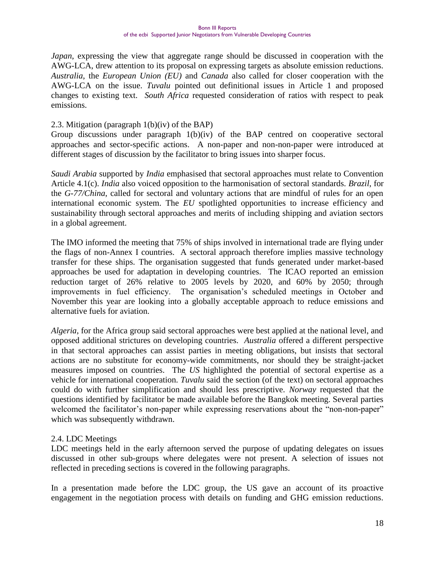*Japan*, expressing the view that aggregate range should be discussed in cooperation with the AWG-LCA, drew attention to its proposal on expressing targets as absolute emission reductions. *Australia*, the *European Union (EU)* and *Canada* also called for closer cooperation with the AWG-LCA on the issue. *Tuvalu* pointed out definitional issues in Article 1 and proposed changes to existing text. *South Africa* requested consideration of ratios with respect to peak emissions.

#### 2.3. Mitigation (paragraph 1(b)(iv) of the BAP)

Group discussions under paragraph 1(b)(iv) of the BAP centred on cooperative sectoral approaches and sector-specific actions. A non-paper and non-non-paper were introduced at different stages of discussion by the facilitator to bring issues into sharper focus.

*Saudi Arabia* supported by *India* emphasised that sectoral approaches must relate to Convention Article 4.1(c). *India* also voiced opposition to the harmonisation of sectoral standards. *Brazil*, for the *G-77/China*, called for sectoral and voluntary actions that are mindful of rules for an open international economic system. The *EU* spotlighted opportunities to increase efficiency and sustainability through sectoral approaches and merits of including shipping and aviation sectors in a global agreement.

The IMO informed the meeting that 75% of ships involved in international trade are flying under the flags of non-Annex I countries. A sectoral approach therefore implies massive technology transfer for these ships. The organisation suggested that funds generated under market-based approaches be used for adaptation in developing countries. The ICAO reported an emission reduction target of 26% relative to 2005 levels by 2020, and 60% by 2050; through improvements in fuel efficiency. The organisation"s scheduled meetings in October and November this year are looking into a globally acceptable approach to reduce emissions and alternative fuels for aviation.

*Algeria*, for the Africa group said sectoral approaches were best applied at the national level, and opposed additional strictures on developing countries. *Australia* offered a different perspective in that sectoral approaches can assist parties in meeting obligations, but insists that sectoral actions are no substitute for economy-wide commitments, nor should they be straight-jacket measures imposed on countries. The *US* highlighted the potential of sectoral expertise as a vehicle for international cooperation. *Tuvalu* said the section (of the text) on sectoral approaches could do with further simplification and should less prescriptive. *Norway* requested that the questions identified by facilitator be made available before the Bangkok meeting. Several parties welcomed the facilitator's non-paper while expressing reservations about the "non-non-paper" which was subsequently withdrawn.

#### 2.4. LDC Meetings

LDC meetings held in the early afternoon served the purpose of updating delegates on issues discussed in other sub-groups where delegates were not present. A selection of issues not reflected in preceding sections is covered in the following paragraphs.

In a presentation made before the LDC group, the US gave an account of its proactive engagement in the negotiation process with details on funding and GHG emission reductions.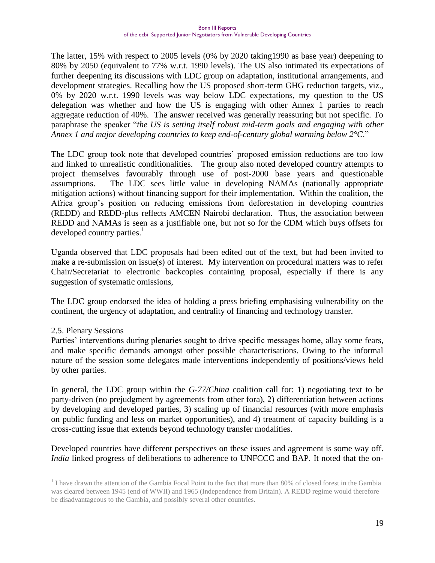The latter, 15% with respect to 2005 levels (0% by 2020 taking1990 as base year) deepening to 80% by 2050 (equivalent to 77% w.r.t. 1990 levels). The US also intimated its expectations of further deepening its discussions with LDC group on adaptation, institutional arrangements, and development strategies. Recalling how the US proposed short-term GHG reduction targets, viz., 0% by 2020 w.r.t. 1990 levels was way below LDC expectations, my question to the US delegation was whether and how the US is engaging with other Annex 1 parties to reach aggregate reduction of 40%. The answer received was generally reassuring but not specific. To paraphrase the speaker "*the US is setting itself robust mid-term goals and engaging with other Annex 1 and major developing countries to keep end-of-century global warming below 2°C*."

The LDC group took note that developed countries' proposed emission reductions are too low and linked to unrealistic conditionalities. The group also noted developed country attempts to project themselves favourably through use of post-2000 base years and questionable assumptions. The LDC sees little value in developing NAMAs (nationally appropriate mitigation actions) without financing support for their implementation. Within the coalition, the Africa group"s position on reducing emissions from deforestation in developing countries (REDD) and REDD-plus reflects AMCEN Nairobi declaration. Thus, the association between REDD and NAMAs is seen as a justifiable one, but not so for the CDM which buys offsets for developed country parties.<sup>1</sup>

Uganda observed that LDC proposals had been edited out of the text, but had been invited to make a re-submission on issue(s) of interest. My intervention on procedural matters was to refer Chair/Secretariat to electronic backcopies containing proposal, especially if there is any suggestion of systematic omissions,

The LDC group endorsed the idea of holding a press briefing emphasising vulnerability on the continent, the urgency of adaptation, and centrality of financing and technology transfer.

#### 2.5. Plenary Sessions

 $\overline{a}$ 

Parties' interventions during plenaries sought to drive specific messages home, allay some fears, and make specific demands amongst other possible characterisations. Owing to the informal nature of the session some delegates made interventions independently of positions/views held by other parties.

In general, the LDC group within the *G-77/China* coalition call for: 1) negotiating text to be party-driven (no prejudgment by agreements from other fora), 2) differentiation between actions by developing and developed parties, 3) scaling up of financial resources (with more emphasis on public funding and less on market opportunities), and 4) treatment of capacity building is a cross-cutting issue that extends beyond technology transfer modalities.

Developed countries have different perspectives on these issues and agreement is some way off. *India* linked progress of deliberations to adherence to UNFCCC and BAP. It noted that the on-

<sup>&</sup>lt;sup>1</sup> I have drawn the attention of the Gambia Focal Point to the fact that more than 80% of closed forest in the Gambia was cleared between 1945 (end of WWII) and 1965 (Independence from Britain). A REDD regime would therefore be disadvantageous to the Gambia, and possibly several other countries.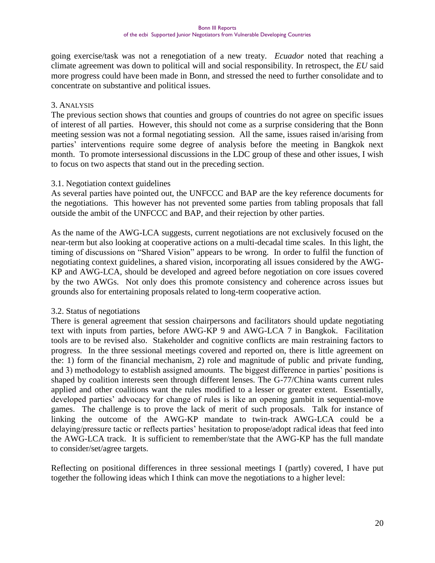going exercise/task was not a renegotiation of a new treaty. *Ecuador* noted that reaching a climate agreement was down to political will and social responsibility. In retrospect, the *EU* said more progress could have been made in Bonn, and stressed the need to further consolidate and to concentrate on substantive and political issues.

#### 3. ANALYSIS

The previous section shows that counties and groups of countries do not agree on specific issues of interest of all parties. However, this should not come as a surprise considering that the Bonn meeting session was not a formal negotiating session. All the same, issues raised in/arising from parties' interventions require some degree of analysis before the meeting in Bangkok next month. To promote intersessional discussions in the LDC group of these and other issues, I wish to focus on two aspects that stand out in the preceding section.

#### 3.1. Negotiation context guidelines

As several parties have pointed out, the UNFCCC and BAP are the key reference documents for the negotiations. This however has not prevented some parties from tabling proposals that fall outside the ambit of the UNFCCC and BAP, and their rejection by other parties.

As the name of the AWG-LCA suggests, current negotiations are not exclusively focused on the near-term but also looking at cooperative actions on a multi-decadal time scales. In this light, the timing of discussions on "Shared Vision" appears to be wrong. In order to fulfil the function of negotiating context guidelines, a shared vision, incorporating all issues considered by the AWG-KP and AWG-LCA, should be developed and agreed before negotiation on core issues covered by the two AWGs. Not only does this promote consistency and coherence across issues but grounds also for entertaining proposals related to long-term cooperative action.

#### 3.2. Status of negotiations

There is general agreement that session chairpersons and facilitators should update negotiating text with inputs from parties, before AWG-KP 9 and AWG-LCA 7 in Bangkok. Facilitation tools are to be revised also. Stakeholder and cognitive conflicts are main restraining factors to progress. In the three sessional meetings covered and reported on, there is little agreement on the: 1) form of the financial mechanism, 2) role and magnitude of public and private funding, and 3) methodology to establish assigned amounts. The biggest difference in parties' positions is shaped by coalition interests seen through different lenses. The G-77/China wants current rules applied and other coalitions want the rules modified to a lesser or greater extent. Essentially, developed parties' advocacy for change of rules is like an opening gambit in sequential-move games. The challenge is to prove the lack of merit of such proposals. Talk for instance of linking the outcome of the AWG-KP mandate to twin-track AWG-LCA could be a delaying/pressure tactic or reflects parties" hesitation to propose/adopt radical ideas that feed into the AWG-LCA track. It is sufficient to remember/state that the AWG-KP has the full mandate to consider/set/agree targets.

Reflecting on positional differences in three sessional meetings I (partly) covered, I have put together the following ideas which I think can move the negotiations to a higher level: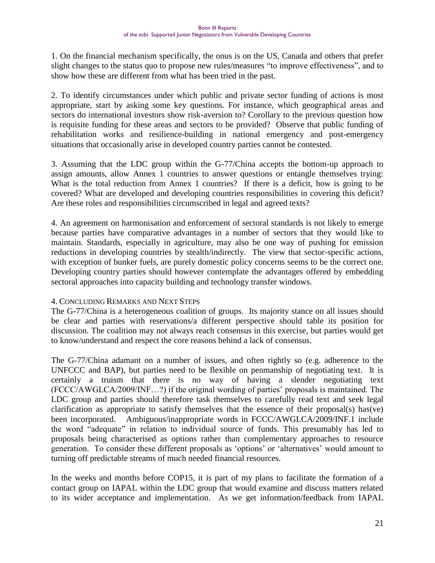1. On the financial mechanism specifically, the onus is on the US, Canada and others that prefer slight changes to the status quo to propose new rules/measures "to improve effectiveness", and to show how these are different from what has been tried in the past.

2. To identify circumstances under which public and private sector funding of actions is most appropriate, start by asking some key questions. For instance, which geographical areas and sectors do international investors show risk-aversion to? Corollary to the previous question how is requisite funding for these areas and sectors to be provided? Observe that public funding of rehabilitation works and resilience-building in national emergency and post-emergency situations that occasionally arise in developed country parties cannot be contested.

3. Assuming that the LDC group within the G-77/China accepts the bottom-up approach to assign amounts, allow Annex 1 countries to answer questions or entangle themselves trying: What is the total reduction from Annex 1 countries? If there is a deficit, how is going to be covered? What are developed and developing countries responsibilities in covering this deficit? Are these roles and responsibilities circumscribed in legal and agreed texts?

4. An agreement on harmonisation and enforcement of sectoral standards is not likely to emerge because parties have comparative advantages in a number of sectors that they would like to maintain. Standards, especially in agriculture, may also be one way of pushing for emission reductions in developing countries by stealth/indirectly. The view that sector-specific actions, with exception of bunker fuels, are purely domestic policy concerns seems to be the correct one. Developing country parties should however contemplate the advantages offered by embedding sectoral approaches into capacity building and technology transfer windows.

#### 4. CONCLUDING REMARKS AND NEXT STEPS

The G-77/China is a heterogeneous coalition of groups. Its majority stance on all issues should be clear and parties with reservations/a different perspective should table its position for discussion. The coalition may not always reach consensus in this exercise, but parties would get to know/understand and respect the core reasons behind a lack of consensus.

The G-77/China adamant on a number of issues, and often rightly so (e.g. adherence to the UNFCCC and BAP), but parties need to be flexible on penmanship of negotiating text. It is certainly a truism that there is no way of having a slender negotiating text (FCCC/AWGLCA/2009/INF…?) if the original wording of parties" proposals is maintained. The LDC group and parties should therefore task themselves to carefully read text and seek legal clarification as appropriate to satisfy themselves that the essence of their proposal(s) has(ve) been incorporated. Ambiguous/inappropriate words in FCCC/AWGLCA/2009/INF.1 include the word "adequate" in relation to individual source of funds. This presumably has led to proposals being characterised as options rather than complementary approaches to resource generation. To consider these different proposals as "options" or "alternatives" would amount to turning off predictable streams of much needed financial resources.

In the weeks and months before COP15, it is part of my plans to facilitate the formation of a contact group on IAPAL within the LDC group that would examine and discuss matters related to its wider acceptance and implementation. As we get information/feedback from IAPAL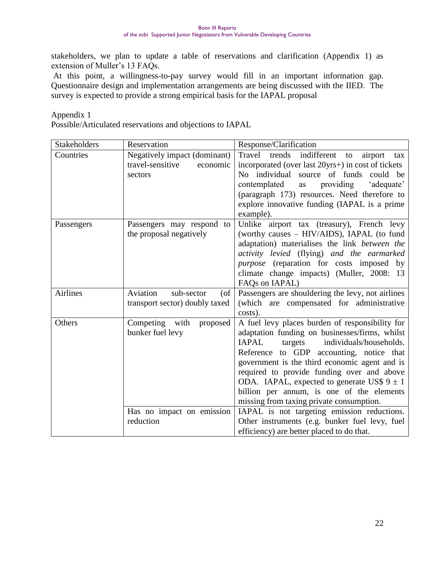stakeholders, we plan to update a table of reservations and clarification (Appendix 1) as extension of Muller's 13 FAQs.

At this point, a willingness-to-pay survey would fill in an important information gap. Questionnaire design and implementation arrangements are being discussed with the IIED. The survey is expected to provide a strong empirical basis for the IAPAL proposal

Appendix 1

Possible/Articulated reservations and objections to IAPAL

| Stakeholders    | Reservation                      | Response/Clarification                                      |
|-----------------|----------------------------------|-------------------------------------------------------------|
| Countries       | Negatively impact (dominant)     | trends<br>indifferent<br>Travel<br>airport<br>to<br>tax     |
|                 | travel-sensitive<br>economic     | incorporated (over last 20yrs+) in cost of tickets          |
|                 | sectors                          | No individual source of funds could be                      |
|                 |                                  | providing<br>contemplated<br>'adequate'<br>as               |
|                 |                                  | (paragraph 173) resources. Need therefore to                |
|                 |                                  | explore innovative funding (IAPAL is a prime                |
|                 |                                  | example).                                                   |
| Passengers      | Passengers may respond to        | Unlike airport tax (treasury), French levy                  |
|                 | the proposal negatively          | (worthy causes - HIV/AIDS), IAPAL (to fund                  |
|                 |                                  | adaptation) materialises the link between the               |
|                 |                                  | activity levied (flying) and the earmarked                  |
|                 |                                  | purpose (reparation for costs imposed by                    |
|                 |                                  | climate change impacts) (Muller, 2008: 13<br>FAQs on IAPAL) |
| <b>Airlines</b> | Aviation<br>sub-sector<br>$($ of | Passengers are shouldering the levy, not airlines           |
|                 | transport sector) doubly taxed   | (which are compensated for administrative                   |
|                 |                                  | costs).                                                     |
| Others          | Competing with<br>proposed       | A fuel levy places burden of responsibility for             |
|                 | bunker fuel levy                 | adaptation funding on businesses/firms, whilst              |
|                 |                                  | <b>IAPAL</b><br>individuals/households.<br>targets          |
|                 |                                  | Reference to GDP accounting, notice that                    |
|                 |                                  | government is the third economic agent and is               |
|                 |                                  | required to provide funding over and above                  |
|                 |                                  | ODA. IAPAL, expected to generate US\$ $9 \pm 1$             |
|                 |                                  | billion per annum, is one of the elements                   |
|                 |                                  | missing from taxing private consumption.                    |
|                 | Has no impact on emission        | IAPAL is not targeting emission reductions.                 |
|                 | reduction                        | Other instruments (e.g. bunker fuel levy, fuel              |
|                 |                                  | efficiency) are better placed to do that.                   |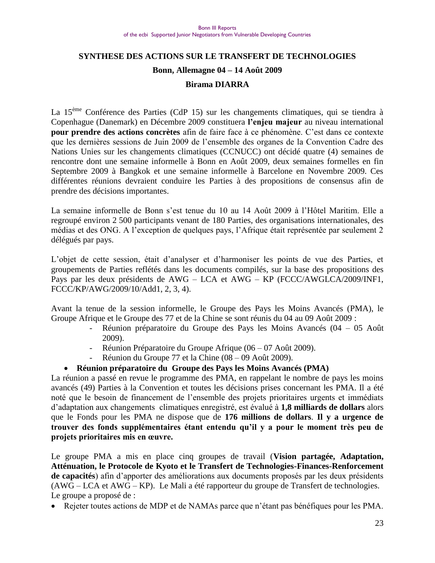## **SYNTHESE DES ACTIONS SUR LE TRANSFERT DE TECHNOLOGIES Bonn, Allemagne 04 – 14 Août 2009**

#### **Birama DIARRA**

La 15<sup>ème</sup> Conférence des Parties (CdP 15) sur les changements climatiques, qui se tiendra à Copenhague (Danemark) en Décembre 2009 constituera **l'enjeu majeur** au niveau international **pour prendre des actions concrètes** afin de faire face à ce phénomène. C"est dans ce contexte que les dernières sessions de Juin 2009 de l"ensemble des organes de la Convention Cadre des Nations Unies sur les changements climatiques (CCNUCC) ont décidé quatre (4) semaines de rencontre dont une semaine informelle à Bonn en Août 2009, deux semaines formelles en fin Septembre 2009 à Bangkok et une semaine informelle à Barcelone en Novembre 2009. Ces différentes réunions devraient conduire les Parties à des propositions de consensus afin de prendre des décisions importantes.

La semaine informelle de Bonn s"est tenue du 10 au 14 Août 2009 à l"Hôtel Maritim. Elle a regroupé environ 2 500 participants venant de 180 Parties, des organisations internationales, des médias et des ONG. A l"exception de quelques pays, l"Afrique était représentée par seulement 2 délégués par pays.

L"objet de cette session, était d"analyser et d"harmoniser les points de vue des Parties, et groupements de Parties reflétés dans les documents compilés, sur la base des propositions des Pays par les deux présidents de AWG – LCA et AWG – KP (FCCC/AWGLCA/2009/INF1, FCCC/KP/AWG/2009/10/Add1, 2, 3, 4).

Avant la tenue de la session informelle, le Groupe des Pays les Moins Avancés (PMA), le Groupe Afrique et le Groupe des 77 et de la Chine se sont réunis du 04 au 09 Août 2009 :

- Réunion préparatoire du Groupe des Pays les Moins Avancés (04 05 Août 2009).
- Réunion Préparatoire du Groupe Afrique (06 07 Août 2009).
- Réunion du Groupe 77 et la Chine (08 09 Août 2009).

#### **Réunion préparatoire du Groupe des Pays les Moins Avancés (PMA)**

La réunion a passé en revue le programme des PMA, en rappelant le nombre de pays les moins avancés (49) Parties à la Convention et toutes les décisions prises concernant les PMA. Il a été noté que le besoin de financement de l"ensemble des projets prioritaires urgents et immédiats d"adaptation aux changements climatiques enregistré, est évalué à **1,8 milliards de dollars** alors que le Fonds pour les PMA ne dispose que de **176 millions de dollars**. **Il y a urgence de trouver des fonds supplémentaires étant entendu qu'il y a pour le moment très peu de projets prioritaires mis en œuvre.**

Le groupe PMA a mis en place cinq groupes de travail (**Vision partagée, Adaptation, Atténuation, le Protocole de Kyoto et le Transfert de Technologies-Finances-Renforcement de capacités**) afin d"apporter des améliorations aux documents proposés par les deux présidents (AWG – LCA et AWG – KP). Le Mali a été rapporteur du groupe de Transfert de technologies. Le groupe a proposé de :

Rejeter toutes actions de MDP et de NAMAs parce que n"étant pas bénéfiques pour les PMA.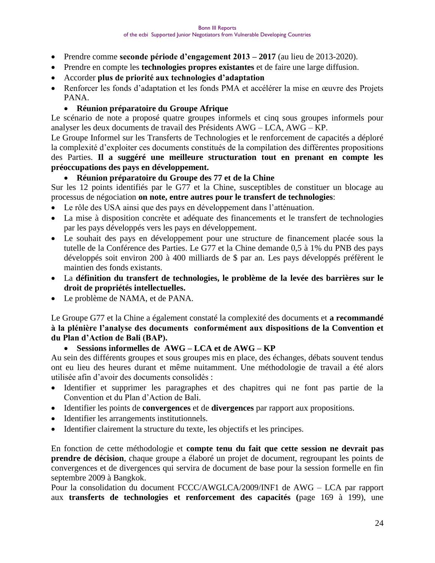- Prendre comme **seconde période d'engagement 2013 – 2017** (au lieu de 2013-2020).
- Prendre en compte les **technologies propres existantes** et de faire une large diffusion.
- Accorder **plus de priorité aux technologies d'adaptation**
- Renforcer les fonds d"adaptation et les fonds PMA et accélérer la mise en œuvre des Projets PANA.
	- **Réunion préparatoire du Groupe Afrique**

Le scénario de note a proposé quatre groupes informels et cinq sous groupes informels pour analyser les deux documents de travail des Présidents AWG – LCA, AWG – KP.

Le Groupe Informel sur les Transferts de Technologies et le renforcement de capacités a déploré la complexité d"exploiter ces documents constitués de la compilation des différentes propositions des Parties. **Il a suggéré une meilleure structuration tout en prenant en compte les préoccupations des pays en développement.**

#### **Réunion préparatoire du Groupe des 77 et de la Chine**

Sur les 12 points identifiés par le G77 et la Chine, susceptibles de constituer un blocage au processus de négociation **on note, entre autres pour le transfert de technologies**:

- Le rôle des USA ainsi que des pays en développement dans l"atténuation.
- La mise à disposition concrète et adéquate des financements et le transfert de technologies par les pays développés vers les pays en développement.
- Le souhait des pays en développement pour une structure de financement placée sous la tutelle de la Conférence des Parties. Le G77 et la Chine demande 0,5 à 1% du PNB des pays développés soit environ 200 à 400 milliards de \$ par an. Les pays développés préfèrent le maintien des fonds existants.
- La **définition du transfert de technologies, le problème de la levée des barrières sur le droit de propriétés intellectuelles.**
- Le problème de NAMA, et de PANA.

Le Groupe G77 et la Chine a également constaté la complexité des documents et **a recommandé à la plénière l'analyse des documents conformément aux dispositions de la Convention et du Plan d'Action de Bali (BAP).**

**Sessions informelles de AWG – LCA et de AWG – KP** 

Au sein des différents groupes et sous groupes mis en place, des échanges, débats souvent tendus ont eu lieu des heures durant et même nuitamment. Une méthodologie de travail a été alors utilisée afin d"avoir des documents consolidés :

- Identifier et supprimer les paragraphes et des chapitres qui ne font pas partie de la Convention et du Plan d"Action de Bali.
- Identifier les points de **convergences** et de **divergences** par rapport aux propositions.
- Identifier les arrangements institutionnels.
- Identifier clairement la structure du texte, les objectifs et les principes.

En fonction de cette méthodologie et **compte tenu du fait que cette session ne devrait pas prendre de décision**, chaque groupe a élaboré un projet de document, regroupant les points de convergences et de divergences qui servira de document de base pour la session formelle en fin septembre 2009 à Bangkok.

Pour la consolidation du document FCCC/AWGLCA/2009/INF1 de AWG – LCA par rapport aux **transferts de technologies et renforcement des capacités (**page 169 à 199), une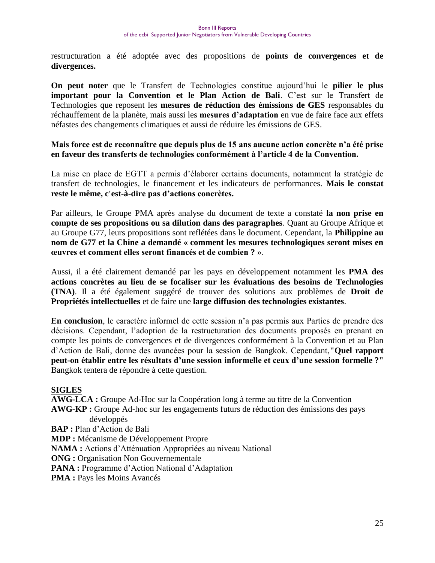restructuration a été adoptée avec des propositions de **points de convergences et de divergences.** 

**On peut noter** que le Transfert de Technologies constitue aujourd"hui le **pilier le plus important pour la Convention et le Plan Action de Bali**. C"est sur le Transfert de Technologies que reposent les **mesures de réduction des émissions de GES** responsables du réchauffement de la planète, mais aussi les **mesures d'adaptation** en vue de faire face aux effets néfastes des changements climatiques et aussi de réduire les émissions de GES.

#### **Mais force est de reconnaître que depuis plus de 15 ans aucune action concrète n'a été prise en faveur des transferts de technologies conformément à l'article 4 de la Convention.**

La mise en place de EGTT a permis d"élaborer certains documents, notamment la stratégie de transfert de technologies, le financement et les indicateurs de performances. **Mais le constat reste le même, c'est-à-dire pas d'actions concrètes.**

Par ailleurs, le Groupe PMA après analyse du document de texte a constaté **la non prise en compte de ses propositions ou sa dilution dans des paragraphes**. Quant au Groupe Afrique et au Groupe G77, leurs propositions sont reflétées dans le document. Cependant, la **Philippine au nom de G77 et la Chine a demandé « comment les mesures technologiques seront mises en œuvres et comment elles seront financés et de combien ?** ».

Aussi, il a été clairement demandé par les pays en développement notamment les **PMA des actions concrètes au lieu de se focaliser sur les évaluations des besoins de Technologies (TNA)**. Il a été également suggéré de trouver des solutions aux problèmes de **Droit de Propriétés intellectuelles** et de faire une **large diffusion des technologies existantes**.

**En conclusion**, le caractère informel de cette session n"a pas permis aux Parties de prendre des décisions. Cependant, l"adoption de la restructuration des documents proposés en prenant en compte les points de convergences et de divergences conformément à la Convention et au Plan d"Action de Bali, donne des avancées pour la session de Bangkok. Cependant,**"Quel rapport peut-on établir entre les résultats d'une session informelle et ceux d'une session formelle ?"** Bangkok tentera de répondre à cette question.

#### **SIGLES**

**AWG-LCA :** Groupe Ad-Hoc sur la Coopération long à terme au titre de la Convention **AWG-KP :** Groupe Ad-hoc sur les engagements futurs de réduction des émissions des pays développés **BAP :** Plan d"Action de Bali **MDP :** Mécanisme de Développement Propre **NAMA :** Actions d"Atténuation Appropriées au niveau National **ONG :** Organisation Non Gouvernementale **PANA** : Programme d'Action National d'Adaptation

**PMA :** Pays les Moins Avancés